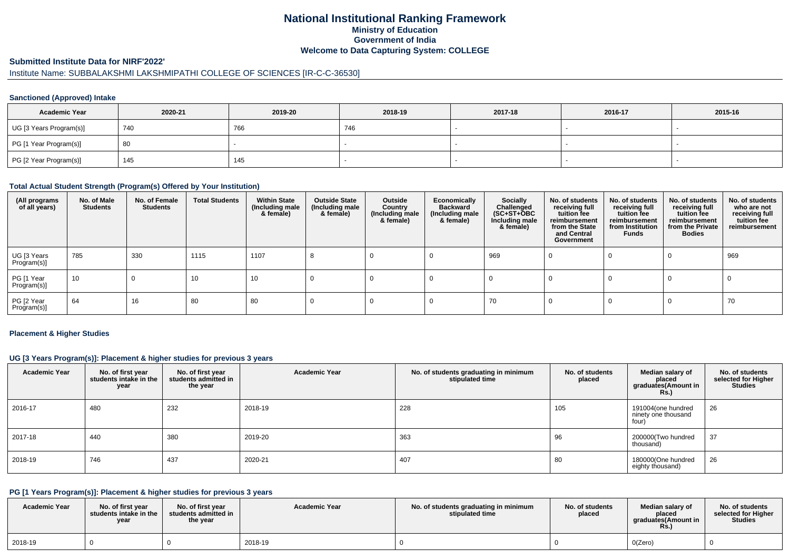## **National Institutional Ranking FrameworkMinistry of Education Government of IndiaWelcome to Data Capturing System: COLLEGE**

# **Submitted Institute Data for NIRF'2022'**

# Institute Name: SUBBALAKSHMI LAKSHMIPATHI COLLEGE OF SCIENCES [IR-C-C-36530]

#### **Sanctioned (Approved) Intake**

| <b>Academic Year</b>    | 2020-21 | 2019-20 | 2018-19    | 2017-18 | 2016-17 | 2015-16 |
|-------------------------|---------|---------|------------|---------|---------|---------|
| UG [3 Years Program(s)] | 740     | 766     | 740<br>746 |         |         |         |
| PG [1 Year Program(s)]  | -80     |         |            |         |         |         |
| PG [2 Year Program(s)]  | 145     | 145     |            |         |         |         |

#### **Total Actual Student Strength (Program(s) Offered by Your Institution)**

| (All programs<br>of all years) | No. of Male<br><b>Students</b> | No. of Female<br>Students | <b>Total Students</b> | <b>Within State</b><br>(Including male<br>& female) | <b>Outside State</b><br>(Including male<br>& female) | Outside<br>Country<br>(Including male<br>& female) | Economically<br><b>Backward</b><br>(Including male<br>& female) | <b>Socially</b><br>Challenged<br>$(SC+ST+\bar OBC)$<br>Including male<br>& female) | No. of students<br>receiving full<br>tuition fee<br>reimbursement<br>from the State<br>and Central<br>Government | No. of students<br>receiving full<br>tuition fee<br>reimbursement<br>from Institution<br>Funds | No. of students<br>receiving full<br>tuition fee<br>reimbursement<br>from the Private<br><b>Bodies</b> | No. of students<br>who are not<br>receiving full<br>tuition fee<br>reimbursement |
|--------------------------------|--------------------------------|---------------------------|-----------------------|-----------------------------------------------------|------------------------------------------------------|----------------------------------------------------|-----------------------------------------------------------------|------------------------------------------------------------------------------------|------------------------------------------------------------------------------------------------------------------|------------------------------------------------------------------------------------------------|--------------------------------------------------------------------------------------------------------|----------------------------------------------------------------------------------|
| UG [3 Years<br>Program(s)]     | 785                            | 330                       | 1115                  | 1107                                                |                                                      |                                                    |                                                                 | 969                                                                                |                                                                                                                  |                                                                                                |                                                                                                        | 969                                                                              |
| PG [1 Year<br>Program(s)]      | 10                             | U                         | 10                    | 10                                                  |                                                      |                                                    |                                                                 |                                                                                    |                                                                                                                  |                                                                                                |                                                                                                        |                                                                                  |
| PG [2 Year<br>Program(s)]      | 64                             | 16                        | 80                    | 80                                                  |                                                      |                                                    |                                                                 | 70                                                                                 |                                                                                                                  |                                                                                                |                                                                                                        | 70                                                                               |

#### **Placement & Higher Studies**

#### **UG [3 Years Program(s)]: Placement & higher studies for previous 3 years**

| <b>Academic Year</b> | No. of first year<br>students intake in the<br>year | No. of first year<br>students admitted in<br>the year | <b>Academic Year</b> | No. of students graduating in minimum<br>stipulated time | No. of students<br>placed | Median salary of<br>placed<br>graduates(Amount in<br><b>Rs.)</b> | No. of students<br>selected for Higher<br><b>Studies</b> |
|----------------------|-----------------------------------------------------|-------------------------------------------------------|----------------------|----------------------------------------------------------|---------------------------|------------------------------------------------------------------|----------------------------------------------------------|
| 2016-17              | 480                                                 | 232                                                   | 2018-19              | 228                                                      | 105                       | 191004(one hundred<br>ninety one thousand<br>four)               | 26                                                       |
| 2017-18              | 440                                                 | 380                                                   | 2019-20              | 363                                                      | 96                        | 200000(Two hundred<br>thousand)                                  | 37                                                       |
| 2018-19              | 746                                                 | 437                                                   | 2020-21              | 407                                                      | 80                        | 180000(One hundred<br>eighty thousand)                           | 26                                                       |

#### **PG [1 Years Program(s)]: Placement & higher studies for previous 3 years**

| <b>Academic Year</b> | No. of first vear<br>students intake in the<br>year | No. of first year<br>students admitted in<br>the year | <b>Academic Year</b> | No. of students graduating in minimum<br>stipulated time | No. of students<br>placed | Median salarv of<br>placed<br>araduates(Amount in<br><b>Rs.</b> ) | No. of students<br>selected for Higher<br><b>Studies</b> |
|----------------------|-----------------------------------------------------|-------------------------------------------------------|----------------------|----------------------------------------------------------|---------------------------|-------------------------------------------------------------------|----------------------------------------------------------|
| 2018-19              |                                                     |                                                       | 2018-19              |                                                          |                           | O(Zero)                                                           |                                                          |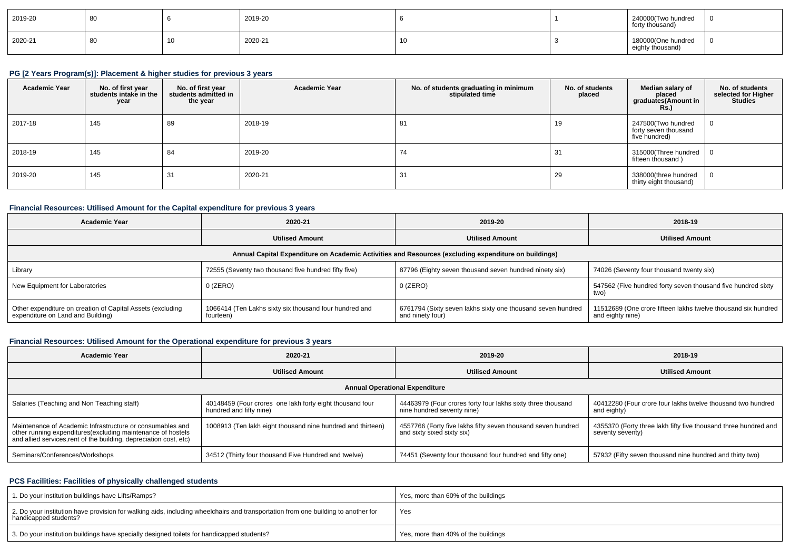| 2019-20 | οu | 2019-20 |  | 240000(Two hundred<br>forty thousand)  | - 0 |
|---------|----|---------|--|----------------------------------------|-----|
| 2020-21 | 80 | 2020-21 |  | 180000(One hundred<br>eighty thousand) | - 0 |

# **PG [2 Years Program(s)]: Placement & higher studies for previous 3 years**

| <b>Academic Year</b> | No. of first year<br>students intake in the<br>year | No. of first year<br>students admitted in<br>the year | <b>Academic Year</b> | No. of students graduating in minimum<br>stipulated time | No. of students<br>placed | Median salary of<br>placed<br>graduates(Amount in<br><b>Rs.)</b> | No. of students<br>selected for Higher<br><b>Studies</b> |
|----------------------|-----------------------------------------------------|-------------------------------------------------------|----------------------|----------------------------------------------------------|---------------------------|------------------------------------------------------------------|----------------------------------------------------------|
| 2017-18              | 145                                                 | 89                                                    | 2018-19              | 81                                                       | 19                        | 247500(Two hundred<br>forty seven thousand<br>five hundred)      |                                                          |
| 2018-19              | 145                                                 | 84                                                    | 2019-20              | 74                                                       | 31                        | 315000(Three hundred  <br>fifteen thousand)                      |                                                          |
| 2019-20              | 145                                                 | 31                                                    | 2020-21              | 31                                                       | 29                        | 338000(three hundred<br>thirty eight thousand)                   |                                                          |

#### **Financial Resources: Utilised Amount for the Capital expenditure for previous 3 years**

| Academic Year                                                                                   | 2020-21                                                                                              |                                                                                 | 2018-19                                                                           |  |  |  |  |  |  |  |
|-------------------------------------------------------------------------------------------------|------------------------------------------------------------------------------------------------------|---------------------------------------------------------------------------------|-----------------------------------------------------------------------------------|--|--|--|--|--|--|--|
| <b>Utilised Amount</b>                                                                          |                                                                                                      | <b>Utilised Amount</b>                                                          | <b>Utilised Amount</b>                                                            |  |  |  |  |  |  |  |
|                                                                                                 | Annual Capital Expenditure on Academic Activities and Resources (excluding expenditure on buildings) |                                                                                 |                                                                                   |  |  |  |  |  |  |  |
| Library                                                                                         | 72555 (Seventy two thousand five hundred fifty five)                                                 | 87796 (Eighty seven thousand seven hundred ninety six)                          | 74026 (Seventy four thousand twenty six)                                          |  |  |  |  |  |  |  |
| New Equipment for Laboratories                                                                  | $0$ (ZERO)                                                                                           | 0 (ZERO)                                                                        | 547562 (Five hundred forty seven thousand five hundred sixty<br>two)              |  |  |  |  |  |  |  |
| Other expenditure on creation of Capital Assets (excluding<br>expenditure on Land and Building) | 1066414 (Ten Lakhs sixty six thousand four hundred and<br>fourteen)                                  | 6761794 (Sixty seven lakhs sixty one thousand seven hundred<br>and ninety four) | 11512689 (One crore fifteen lakhs twelve thousand six hundred<br>and eighty nine) |  |  |  |  |  |  |  |

### **Financial Resources: Utilised Amount for the Operational expenditure for previous 3 years**

| <b>Academic Year</b><br>2020-21                                                                                                                                                                 |                                                                                     | 2019-20                                                                                    | 2018-19                                                                             |  |  |  |  |  |  |  |
|-------------------------------------------------------------------------------------------------------------------------------------------------------------------------------------------------|-------------------------------------------------------------------------------------|--------------------------------------------------------------------------------------------|-------------------------------------------------------------------------------------|--|--|--|--|--|--|--|
| <b>Utilised Amount</b>                                                                                                                                                                          |                                                                                     | <b>Utilised Amount</b>                                                                     | <b>Utilised Amount</b>                                                              |  |  |  |  |  |  |  |
| <b>Annual Operational Expenditure</b>                                                                                                                                                           |                                                                                     |                                                                                            |                                                                                     |  |  |  |  |  |  |  |
| Salaries (Teaching and Non Teaching staff)                                                                                                                                                      | 40148459 (Four crores one lakh forty eight thousand four<br>hundred and fifty nine) | 44463979 (Four crores forty four lakhs sixty three thousand<br>nine hundred seventy nine)  | 40412280 (Four crore four lakhs twelve thousand two hundred<br>and eighty)          |  |  |  |  |  |  |  |
| Maintenance of Academic Infrastructure or consumables and<br>other running expenditures (excluding maintenance of hostels<br>and allied services, rent of the building, depreciation cost, etc) | 1008913 (Ten lakh eight thousand nine hundred and thirteen)                         | 4557766 (Forty five lakhs fifty seven thousand seven hundred<br>and sixty sixed sixty six) | 4355370 (Forty three lakh fifty five thousand three hundred and<br>seventy seventy) |  |  |  |  |  |  |  |
| Seminars/Conferences/Workshops                                                                                                                                                                  | 34512 (Thirty four thousand Five Hundred and twelve)                                | 74451 (Seventy four thousand four hundred and fifty one)                                   | 57932 (Fifty seven thousand nine hundred and thirty two)                            |  |  |  |  |  |  |  |

## **PCS Facilities: Facilities of physically challenged students**

| 1. Do your institution buildings have Lifts/Ramps?                                                                                                         | Yes, more than 60% of the buildings |
|------------------------------------------------------------------------------------------------------------------------------------------------------------|-------------------------------------|
| 2. Do your institution have provision for walking aids, including wheelchairs and transportation from one building to another for<br>handicapped students? | Yes                                 |
| 3. Do your institution buildings have specially designed toilets for handicapped students?                                                                 | Yes, more than 40% of the buildings |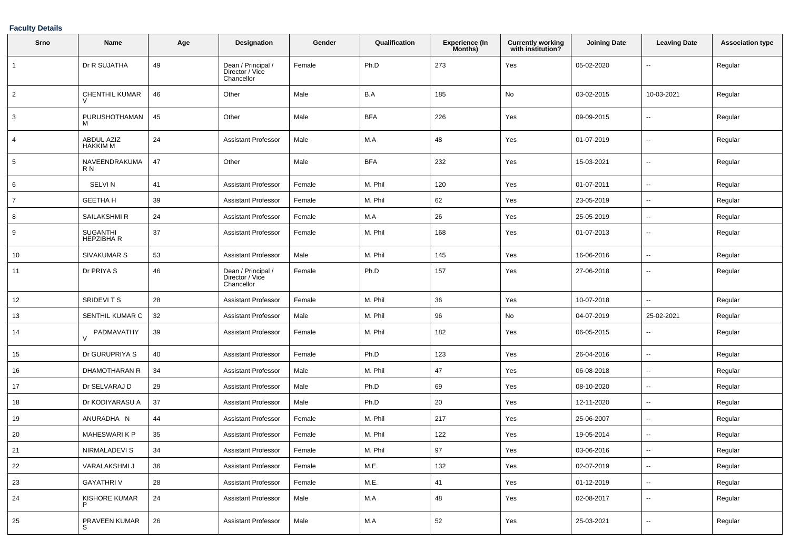## **Faculty Details**

| Srno           | Name                                 | Age    | <b>Designation</b>                                  | Gender | Qualification | <b>Experience (In</b><br>Months) | <b>Currently working</b><br>with institution? | <b>Joining Date</b> | <b>Leaving Date</b>      | <b>Association type</b> |
|----------------|--------------------------------------|--------|-----------------------------------------------------|--------|---------------|----------------------------------|-----------------------------------------------|---------------------|--------------------------|-------------------------|
| $\mathbf{1}$   | Dr R SUJATHA                         | 49     | Dean / Principal /<br>Director / Vice<br>Chancellor | Female | Ph.D          | 273                              | Yes                                           | 05-02-2020          | $\overline{\phantom{a}}$ | Regular                 |
| $\overline{2}$ | CHENTHIL KUMAR                       | 46     | Other                                               | Male   | B.A           | 185                              | No                                            | 03-02-2015          | 10-03-2021               | Regular                 |
| 3              | PURUSHOTHAMAN<br>м                   | 45     | Other                                               | Male   | <b>BFA</b>    | 226                              | Yes                                           | 09-09-2015          | $\overline{\phantom{a}}$ | Regular                 |
| 4              | <b>ABDUL AZIZ</b><br><b>HAKKIM M</b> | 24     | <b>Assistant Professor</b>                          | Male   | M.A           | 48                               | Yes                                           | 01-07-2019          | $\overline{\phantom{a}}$ | Regular                 |
| 5              | NAVEENDRAKUMA<br>R N                 | 47     | Other                                               | Male   | <b>BFA</b>    | 232                              | Yes                                           | 15-03-2021          | $\overline{\phantom{a}}$ | Regular                 |
| 6              | <b>SELVIN</b>                        | 41     | <b>Assistant Professor</b>                          | Female | M. Phil       | 120                              | Yes                                           | 01-07-2011          | $\overline{\phantom{a}}$ | Regular                 |
| 7              | <b>GEETHA H</b>                      | 39     | Assistant Professor                                 | Female | M. Phil       | 62                               | Yes                                           | 23-05-2019          | $\overline{\phantom{a}}$ | Regular                 |
| 8              | SAILAKSHMI R                         | 24     | Assistant Professor                                 | Female | M.A           | 26                               | Yes                                           | 25-05-2019          | --                       | Regular                 |
| 9              | SUGANTHI<br><b>HEPZIBHAR</b>         | 37     | <b>Assistant Professor</b>                          | Female | M. Phil       | 168                              | Yes                                           | 01-07-2013          | $\overline{\phantom{a}}$ | Regular                 |
| 10             | SIVAKUMAR S                          | 53     | <b>Assistant Professor</b>                          | Male   | M. Phil       | 145                              | Yes                                           | 16-06-2016          | $\overline{\phantom{a}}$ | Regular                 |
| 11             | Dr PRIYA S                           | 46     | Dean / Principal /<br>Director / Vice<br>Chancellor | Female | Ph.D          | 157                              | Yes                                           | 27-06-2018          | $\overline{\phantom{a}}$ | Regular                 |
| 12             | <b>SRIDEVITS</b>                     | 28     | <b>Assistant Professor</b>                          | Female | M. Phil       | 36                               | Yes                                           | 10-07-2018          | $\overline{\phantom{a}}$ | Regular                 |
| 13             | SENTHIL KUMAR C                      | 32     | <b>Assistant Professor</b>                          | Male   | M. Phil       | 96                               | No                                            | 04-07-2019          | 25-02-2021               | Regular                 |
| 14             | PADMAVATHY<br>$\vee$                 | 39     | <b>Assistant Professor</b>                          | Female | M. Phil       | 182                              | Yes                                           | 06-05-2015          | $\overline{\phantom{a}}$ | Regular                 |
| 15             | Dr GURUPRIYA S                       | 40     | Assistant Professor                                 | Female | Ph.D          | 123                              | Yes                                           | 26-04-2016          | $\overline{\phantom{a}}$ | Regular                 |
| 16             | DHAMOTHARAN R                        | 34     | <b>Assistant Professor</b>                          | Male   | M. Phil       | 47                               | Yes                                           | 06-08-2018          | $\overline{\phantom{a}}$ | Regular                 |
| 17             | Dr SELVARAJ D                        | 29     | Assistant Professor                                 | Male   | Ph.D          | 69                               | Yes                                           | 08-10-2020          | ⊷.                       | Regular                 |
| 18             | Dr KODIYARASU A                      | 37     | <b>Assistant Professor</b>                          | Male   | Ph.D          | 20                               | Yes                                           | 12-11-2020          | ⊷.                       | Regular                 |
| 19             | ANURADHA N                           | 44     | <b>Assistant Professor</b>                          | Female | M. Phil       | 217                              | Yes                                           | 25-06-2007          | $\overline{\phantom{a}}$ | Regular                 |
| 20             | <b>MAHESWARIKP</b>                   | 35     | Assistant Professor                                 | Female | M. Phil       | 122                              | Yes                                           | 19-05-2014          | $\overline{\phantom{a}}$ | Regular                 |
| 21             | <b>NIRMALADEVI S</b>                 | 34     | <b>Assistant Professor</b>                          | Female | M. Phil       | 97                               | Yes                                           | 03-06-2016          | $\overline{\phantom{a}}$ | Regular                 |
| 22             | VARALAKSHMI J                        | 36     | <b>Assistant Professor</b>                          | Female | M.E.          | 132                              | Yes                                           | 02-07-2019          | $\overline{\phantom{a}}$ | Regular                 |
| 23             | <b>GAYATHRIV</b>                     | 28     | <b>Assistant Professor</b>                          | Female | M.E.          | 41                               | Yes                                           | 01-12-2019          | $\sim$                   | Regular                 |
| 24             | KISHORE KUMAR                        | $24\,$ | <b>Assistant Professor</b>                          | Male   | M.A           | 48                               | Yes                                           | 02-08-2017          | н.                       | Regular                 |
| 25             | PRAVEEN KUMAR                        | 26     | Assistant Professor                                 | Male   | M.A           | 52                               | Yes                                           | 25-03-2021          | н.                       | Regular                 |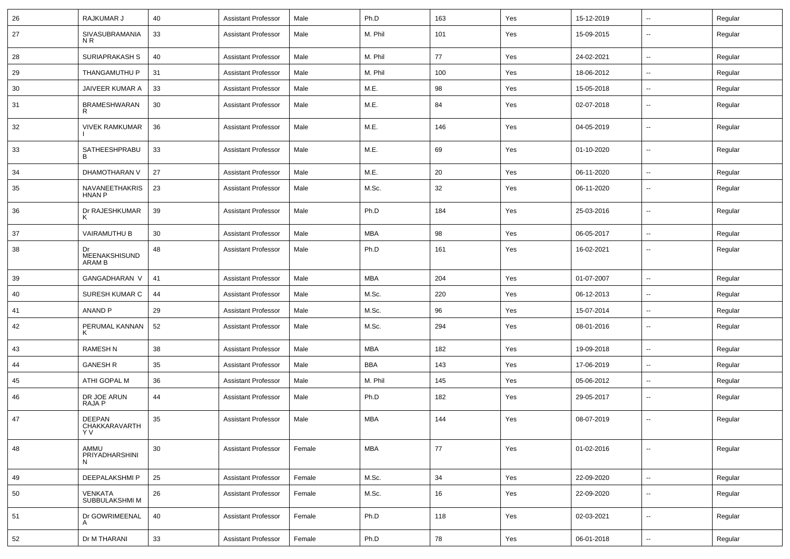| 26 | RAJKUMAR J                            | 40 | <b>Assistant Professor</b> | Male   | Ph.D       | 163 | Yes | 15-12-2019 | ⊶.                       | Regular |
|----|---------------------------------------|----|----------------------------|--------|------------|-----|-----|------------|--------------------------|---------|
| 27 | SIVASUBRAMANIA<br>N <sub>R</sub>      | 33 | <b>Assistant Professor</b> | Male   | M. Phil    | 101 | Yes | 15-09-2015 | --                       | Regular |
| 28 | SURIAPRAKASH S                        | 40 | <b>Assistant Professor</b> | Male   | M. Phil    | 77  | Yes | 24-02-2021 | -−                       | Regular |
| 29 | THANGAMUTHU P                         | 31 | <b>Assistant Professor</b> | Male   | M. Phil    | 100 | Yes | 18-06-2012 | ⊷.                       | Regular |
| 30 | JAIVEER KUMAR A                       | 33 | <b>Assistant Professor</b> | Male   | M.E.       | 98  | Yes | 15-05-2018 | $\overline{\phantom{a}}$ | Regular |
| 31 | <b>BRAMESHWARAN</b><br>R              | 30 | <b>Assistant Professor</b> | Male   | M.E.       | 84  | Yes | 02-07-2018 | --                       | Regular |
| 32 | <b>VIVEK RAMKUMAR</b>                 | 36 | <b>Assistant Professor</b> | Male   | M.E.       | 146 | Yes | 04-05-2019 | --                       | Regular |
| 33 | SATHEESHPRABU<br>В                    | 33 | <b>Assistant Professor</b> | Male   | M.E.       | 69  | Yes | 01-10-2020 | --                       | Regular |
| 34 | DHAMOTHARAN V                         | 27 | <b>Assistant Professor</b> | Male   | M.E.       | 20  | Yes | 06-11-2020 | -−                       | Regular |
| 35 | NAVANEETHAKRIS<br><b>HNAN P</b>       | 23 | <b>Assistant Professor</b> | Male   | M.Sc.      | 32  | Yes | 06-11-2020 | $\sim$                   | Regular |
| 36 | Dr RAJESHKUMAR<br>ĸ                   | 39 | <b>Assistant Professor</b> | Male   | Ph.D       | 184 | Yes | 25-03-2016 | ⊷.                       | Regular |
| 37 | VAIRAMUTHU B                          | 30 | <b>Assistant Professor</b> | Male   | <b>MBA</b> | 98  | Yes | 06-05-2017 | $\sim$                   | Regular |
| 38 | Dr<br>MEENAKSHISUND<br>ARAM B         | 48 | <b>Assistant Professor</b> | Male   | Ph.D       | 161 | Yes | 16-02-2021 | --                       | Regular |
| 39 | <b>GANGADHARAN V</b>                  | 41 | <b>Assistant Professor</b> | Male   | MBA        | 204 | Yes | 01-07-2007 | $\sim$                   | Regular |
| 40 | SURESH KUMAR C                        | 44 | <b>Assistant Professor</b> | Male   | M.Sc.      | 220 | Yes | 06-12-2013 | $\overline{\phantom{a}}$ | Regular |
| 41 | ANAND P                               | 29 | <b>Assistant Professor</b> | Male   | M.Sc.      | 96  | Yes | 15-07-2014 | -−                       | Regular |
| 42 | PERUMAL KANNAN<br>K                   | 52 | <b>Assistant Professor</b> | Male   | M.Sc.      | 294 | Yes | 08-01-2016 | $\overline{\phantom{a}}$ | Regular |
| 43 | <b>RAMESH N</b>                       | 38 | <b>Assistant Professor</b> | Male   | MBA        | 182 | Yes | 19-09-2018 | $\sim$                   | Regular |
| 44 | <b>GANESH R</b>                       | 35 | <b>Assistant Professor</b> | Male   | BBA        | 143 | Yes | 17-06-2019 | --                       | Regular |
| 45 | ATHI GOPAL M                          | 36 | <b>Assistant Professor</b> | Male   | M. Phil    | 145 | Yes | 05-06-2012 | -−                       | Regular |
| 46 | DR JOE ARUN<br>RAJA P                 | 44 | <b>Assistant Professor</b> | Male   | Ph.D       | 182 | Yes | 29-05-2017 | ⊷.                       | Regular |
| 47 | <b>DEEPAN</b><br>CHAKKARAVARTH<br>Y V | 35 | <b>Assistant Professor</b> | Male   | <b>MBA</b> | 144 | Yes | 08-07-2019 | ⊶.                       | Regular |
| 48 | AMMU<br>PRIYADHARSHINI<br>N           | 30 | <b>Assistant Professor</b> | Female | <b>MBA</b> | 77  | Yes | 01-02-2016 | -−                       | Regular |
| 49 | DEEPALAKSHMI P                        | 25 | <b>Assistant Professor</b> | Female | M.Sc.      | 34  | Yes | 22-09-2020 | $\overline{\phantom{a}}$ | Regular |
| 50 | VENKATA<br>SUBBULAKSHMI M             | 26 | <b>Assistant Professor</b> | Female | M.Sc.      | 16  | Yes | 22-09-2020 | -−                       | Regular |
| 51 | Dr GOWRIMEENAL<br>A                   | 40 | <b>Assistant Professor</b> | Female | Ph.D       | 118 | Yes | 02-03-2021 | $\overline{\phantom{a}}$ | Regular |
| 52 | Dr M THARANI                          | 33 | <b>Assistant Professor</b> | Female | Ph.D       | 78  | Yes | 06-01-2018 | Щ,                       | Regular |